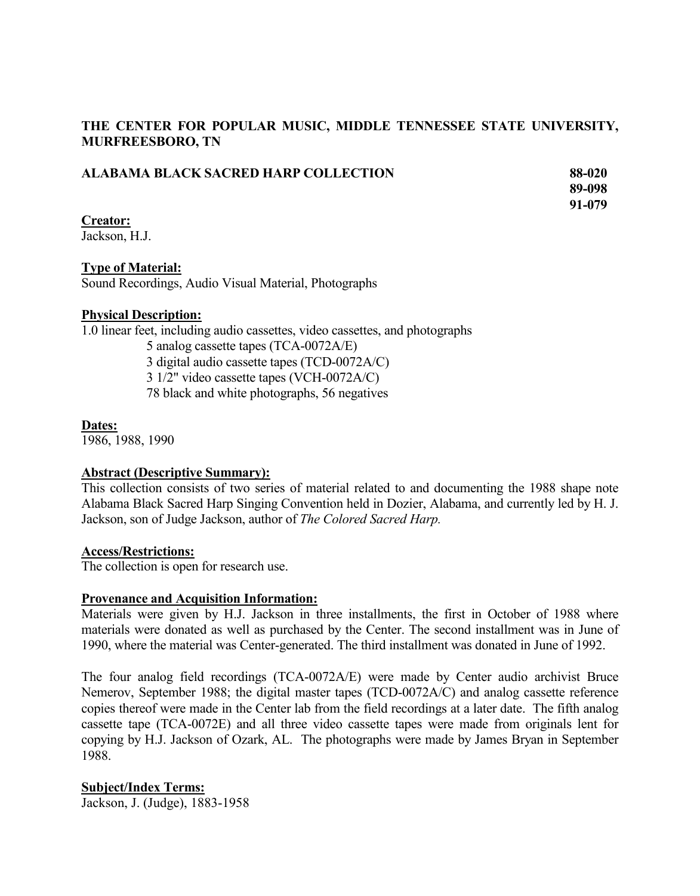# **THE CENTER FOR POPULAR MUSIC, MIDDLE TENNESSEE STATE UNIVERSITY, MURFREESBORO, TN**

| ALABAMA BLACK SACRED HARP COLLECTION | 88-020 |
|--------------------------------------|--------|
|                                      | 89-098 |
|                                      | 91-079 |
| <b>Creator:</b>                      |        |
| Jackson, H.J.                        |        |

# **Type of Material:**

Sound Recordings, Audio Visual Material, Photographs

# **Physical Description:**

1.0 linear feet, including audio cassettes, video cassettes, and photographs

5 analog cassette tapes (TCA-0072A/E)

3 digital audio cassette tapes (TCD-0072A/C)

3 1/2" video cassette tapes (VCH-0072A/C)

78 black and white photographs, 56 negatives

# **Dates:**

1986, 1988, 1990

# **Abstract (Descriptive Summary):**

This collection consists of two series of material related to and documenting the 1988 shape note Alabama Black Sacred Harp Singing Convention held in Dozier, Alabama, and currently led by H. J. Jackson, son of Judge Jackson, author of *The Colored Sacred Harp.*

# **Access/Restrictions:**

The collection is open for research use.

# **Provenance and Acquisition Information:**

Materials were given by H.J. Jackson in three installments, the first in October of 1988 where materials were donated as well as purchased by the Center. The second installment was in June of 1990, where the material was Center-generated. The third installment was donated in June of 1992.

The four analog field recordings (TCA-0072A/E) were made by Center audio archivist Bruce Nemerov, September 1988; the digital master tapes (TCD-0072A/C) and analog cassette reference copies thereof were made in the Center lab from the field recordings at a later date. The fifth analog cassette tape (TCA-0072E) and all three video cassette tapes were made from originals lent for copying by H.J. Jackson of Ozark, AL. The photographs were made by James Bryan in September 1988.

# **Subject/Index Terms:**

Jackson, J. (Judge), 1883-1958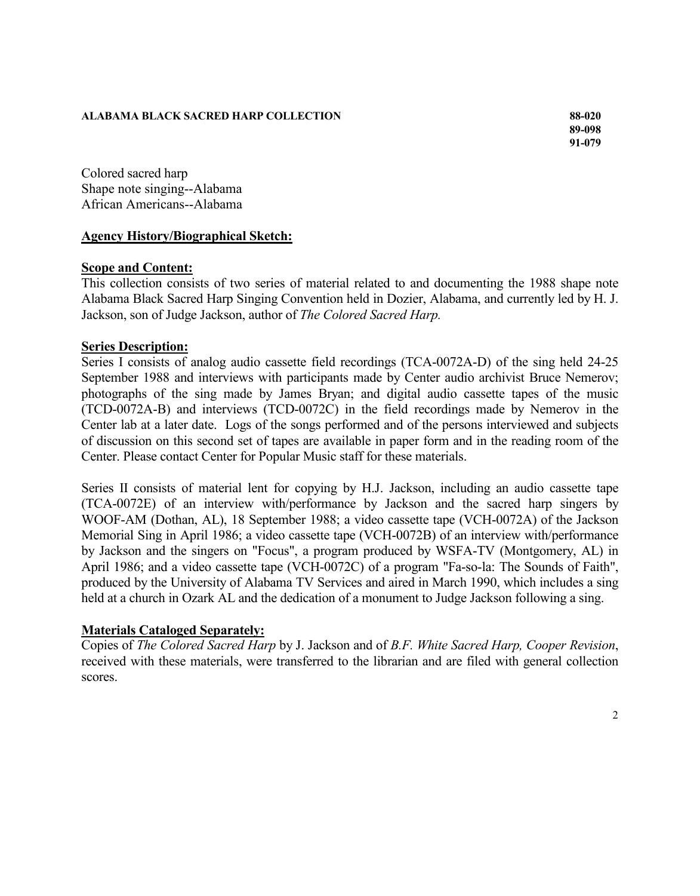#### **ALABAMA BLACK SACRED HARP COLLECTION 88-020**

**89-098 91-079**

Colored sacred harp Shape note singing--Alabama African Americans--Alabama

# **Agency History/Biographical Sketch:**

# **Scope and Content:**

This collection consists of two series of material related to and documenting the 1988 shape note Alabama Black Sacred Harp Singing Convention held in Dozier, Alabama, and currently led by H. J. Jackson, son of Judge Jackson, author of *The Colored Sacred Harp.*

#### **Series Description:**

Series I consists of analog audio cassette field recordings (TCA-0072A-D) of the sing held 24-25 September 1988 and interviews with participants made by Center audio archivist Bruce Nemerov; photographs of the sing made by James Bryan; and digital audio cassette tapes of the music (TCD-0072A-B) and interviews (TCD-0072C) in the field recordings made by Nemerov in the Center lab at a later date. Logs of the songs performed and of the persons interviewed and subjects of discussion on this second set of tapes are available in paper form and in the reading room of the Center. Please contact Center for Popular Music staff for these materials.

Series II consists of material lent for copying by H.J. Jackson, including an audio cassette tape (TCA-0072E) of an interview with/performance by Jackson and the sacred harp singers by WOOF-AM (Dothan, AL), 18 September 1988; a video cassette tape (VCH-0072A) of the Jackson Memorial Sing in April 1986; a video cassette tape (VCH-0072B) of an interview with/performance by Jackson and the singers on "Focus", a program produced by WSFA-TV (Montgomery, AL) in April 1986; and a video cassette tape (VCH-0072C) of a program "Fa-so-la: The Sounds of Faith", produced by the University of Alabama TV Services and aired in March 1990, which includes a sing held at a church in Ozark AL and the dedication of a monument to Judge Jackson following a sing.

# **Materials Cataloged Separately:**

Copies of *The Colored Sacred Harp* by J. Jackson and of *B.F. White Sacred Harp, Cooper Revision*, received with these materials, were transferred to the librarian and are filed with general collection scores.